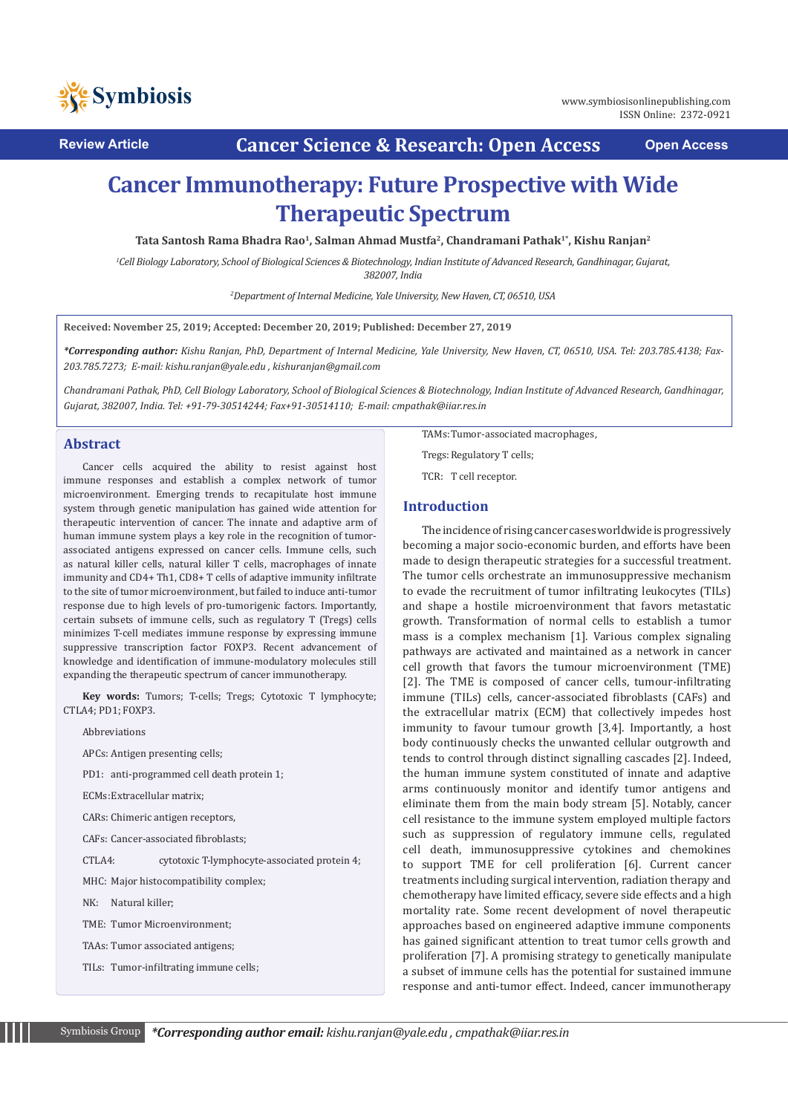

**Review Article Cancer Science & Research: Open Access Open Access**

# **Cancer Immunotherapy: Future Prospective with Wide Therapeutic Spectrum**

**Tata Santosh Rama Bhadra Rao1, Salman Ahmad Mustfa2, Chandramani Pathak1\*, Kishu Ranjan2**

*1 Cell Biology Laboratory, School of Biological Sciences & Biotechnology, Indian Institute of Advanced Research, Gandhinagar, Gujarat, 382007, India*

*2 Department of Internal Medicine, Yale University, New Haven, CT, 06510, USA*

**Received: November 25, 2019; Accepted: December 20, 2019; Published: December 27, 2019**

*\*Corresponding author: Kishu Ranjan, PhD, Department of Internal Medicine, Yale University, New Haven, CT, 06510, USA. Tel: 203.785.4138; Fax-203.785.7273; E-mail: kishu.ranjan@yale.edu , kishuranjan@gmail.com* 

*Chandramani Pathak, PhD, Cell Biology Laboratory, School of Biological Sciences & Biotechnology, Indian Institute of Advanced Research, Gandhinagar, Gujarat, 382007, India. Tel: +91-79-30514244; Fax+91-30514110; E-mail: cmpathak@iiar.res.in* 

## **Abstract**

Cancer cells acquired the ability to resist against host immune responses and establish a complex network of tumor microenvironment. Emerging trends to recapitulate host immune system through genetic manipulation has gained wide attention for therapeutic intervention of cancer. The innate and adaptive arm of human immune system plays a key role in the recognition of tumorassociated antigens expressed on cancer cells. Immune cells, such as natural killer cells, natural killer T cells, macrophages of innate immunity and CD4+ Th1, CD8+ T cells of adaptive immunity infiltrate to the site of tumor microenvironment, but failed to induce anti-tumor response due to high levels of pro-tumorigenic factors. Importantly, certain subsets of immune cells, such as regulatory T (Tregs) cells minimizes T-cell mediates immune response by expressing immune suppressive transcription factor FOXP3. Recent advancement of knowledge and identification of immune-modulatory molecules still expanding the therapeutic spectrum of cancer immunotherapy.

**Key words:** Tumors; T-cells; Tregs; Cytotoxic T lymphocyte; CTLA4; PD1; FOXP3.

Abbreviations

APCs: Antigen presenting cells;

PD1: anti-programmed cell death protein 1;

ECMs:Extracellular matrix;

CARs: Chimeric antigen receptors,

CAFs: Cancer-associated fibroblasts;

CTLA4: cytotoxic T-lymphocyte-associated protein 4;

MHC: Major histocompatibility complex;

NK: Natural killer;

TME: Tumor Microenvironment;

TAAs: Tumor associated antigens;

TILs: Tumor-infiltrating immune cells;

TAMs:Tumor-associated macrophages,

Tregs: Regulatory T cells;

TCR: T cell receptor.

## **Introduction**

The incidence of rising cancer cases worldwide is progressively becoming a major socio-economic burden, and efforts have been made to design therapeutic strategies for a successful treatment. The tumor cells orchestrate an immunosuppressive mechanism to evade the recruitment of tumor infiltrating leukocytes (TILs) and shape a hostile microenvironment that favors metastatic growth. Transformation of normal cells to establish a tumor mass is a complex mechanism [1]. Various complex signaling pathways are activated and maintained as a network in cancer cell growth that favors the tumour microenvironment (TME) [2]. The TME is composed of cancer cells, tumour-infiltrating immune (TILs) cells, cancer-associated fibroblasts (CAFs) and the extracellular matrix (ECM) that collectively impedes host immunity to favour tumour growth [3,4]. Importantly, a host body continuously checks the unwanted cellular outgrowth and tends to control through distinct signalling cascades [2]. Indeed, the human immune system constituted of innate and adaptive arms continuously monitor and identify tumor antigens and eliminate them from the main body stream [5]. Notably, cancer cell resistance to the immune system employed multiple factors such as suppression of regulatory immune cells, regulated cell death, immunosuppressive cytokines and chemokines to support TME for cell proliferation [6]. Current cancer treatments including surgical intervention, radiation therapy and chemotherapy have limited efficacy, severe side effects and a high mortality rate. Some recent development of novel therapeutic approaches based on engineered adaptive immune components has gained significant attention to treat tumor cells growth and proliferation [7]. A promising strategy to genetically manipulate a subset of immune cells has the potential for sustained immune response and anti-tumor effect. Indeed, cancer immunotherapy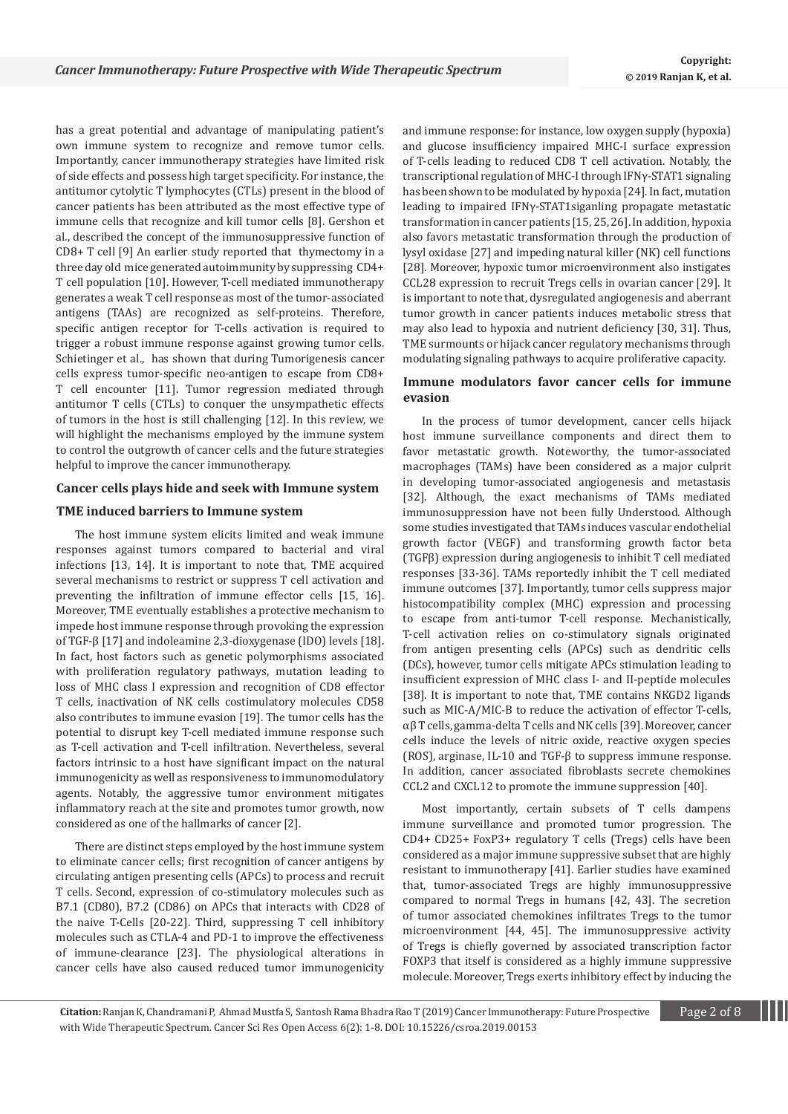has a great potential and advantage of manipulating patient's own immune system to recognize and remove tumor cells. Importantly, cancer immunotherapy strategies have limited risk of side effects and possess high target specificity. For instance, the antitumor cytolytic T lymphocytes (CTLs) present in the blood of cancer patients has been attributed as the most effective type of immune cells that recognize and kill tumor cells [8]. Gershon et al., described the concept of the immunosuppressive function of CD8+ T cell [9] An earlier study reported that thymectomy in a three day old mice generated autoimmunity by suppressing CD4+ T cell population [10]. However, T-cell mediated immunotherapy generates a weak T cell response as most of the tumor-associated antigens (TAAs) are recognized as self-proteins. Therefore, specific antigen receptor for T-cells activation is required to trigger a robust immune response against growing tumor cells. Schietinger et al., has shown that during Tumorigenesis cancer cells express tumor-specific neo-antigen to escape from CD8+ T cell encounter [11]. Tumor regression mediated through antitumor T cells (CTLs) to conquer the unsympathetic effects of tumors in the host is still challenging [12]. In this review, we will highlight the mechanisms employed by the immune system to control the outgrowth of cancer cells and the future strategies helpful to improve the cancer immunotherapy.

## **Cancer cells plays hide and seek with Immune system**

## **TME induced barriers to Immune system**

The host immune system elicits limited and weak immune responses against tumors compared to bacterial and viral infections [13, 14]. It is important to note that, TME acquired several mechanisms to restrict or suppress T cell activation and preventing the infiltration of immune effector cells [15, 16]. Moreover, TME eventually establishes a protective mechanism to impede host immune response through provoking the expression of TGF-β [17] and indoleamine 2,3-dioxygenase (IDO) levels [18]. In fact, host factors such as genetic polymorphisms associated with proliferation regulatory pathways, mutation leading to loss of MHC class I expression and recognition of CD8 effector T cells, inactivation of NK cells costimulatory molecules CD58 also contributes to immune evasion [19]. The tumor cells has the potential to disrupt key T-cell mediated immune response such as T-cell activation and T-cell infiltration. Nevertheless, several factors intrinsic to a host have significant impact on the natural immunogenicity as well as responsiveness to immunomodulatory agents. Notably, the aggressive tumor environment mitigates inflammatory reach at the site and promotes tumor growth, now considered as one of the hallmarks of cancer [2].

There are distinct steps employed by the host immune system to eliminate cancer cells; first recognition of cancer antigens by circulating antigen presenting cells (APCs) to process and recruit T cells. Second, expression of co-stimulatory molecules such as B7.1 (CD80), B7.2 (CD86) on APCs that interacts with CD28 of the naive T-Cells [20-22]. Third, suppressing T cell inhibitory molecules such as CTLA-4 and PD-1 to improve the effectiveness of immune-clearance [23]. The physiological alterations in cancer cells have also caused reduced tumor immunogenicity and immune response: for instance, low oxygen supply (hypoxia) and glucose insufficiency impaired MHC-I surface expression of T-cells leading to reduced CD8 T cell activation. Notably, the transcriptional regulation of MHC-I through IFNγ-STAT1 signaling has been shown to be modulated by hypoxia [24]. In fact, mutation leading to impaired IFNγ-STAT1siganling propagate metastatic transformation in cancer patients [15, 25, 26]. In addition, hypoxia also favors metastatic transformation through the production of lysyl oxidase [27] and impeding natural killer (NK) cell functions [28]. Moreover, hypoxic tumor microenvironment also instigates CCL28 expression to recruit Tregs cells in ovarian cancer [29]. It is important to note that, dysregulated angiogenesis and aberrant tumor growth in cancer patients induces metabolic stress that may also lead to hypoxia and nutrient deficiency [30, 31]. Thus, TME surmounts or hijack cancer regulatory mechanisms through modulating signaling pathways to acquire proliferative capacity.

# **Immune modulators favor cancer cells for immune evasion**

In the process of tumor development, cancer cells hijack host immune surveillance components and direct them to favor metastatic growth. Noteworthy, the tumor-associated macrophages (TAMs) have been considered as a major culprit in developing tumor-associated angiogenesis and metastasis [32]. Although, the exact mechanisms of TAMs mediated immunosuppression have not been fully Understood. Although some studies investigated that TAMs induces vascular endothelial growth factor (VEGF) and transforming growth factor beta (TGFβ) expression during angiogenesis to inhibit T cell mediated responses [33-36]. TAMs reportedly inhibit the T cell mediated immune outcomes [37]. Importantly, tumor cells suppress major histocompatibility complex (MHC) expression and processing to escape from anti-tumor T-cell response. Mechanistically, T-cell activation relies on co-stimulatory signals originated from antigen presenting cells (APCs) such as dendritic cells (DCs), however, tumor cells mitigate APCs stimulation leading to insufficient expression of MHC class I- and II-peptide molecules [38]. It is important to note that, TME contains NKGD2 ligands such as MIC-A/MIC-B to reduce the activation of effector T-cells, αβ T cells, gamma-delta T cells and NK cells [39]. Moreover, cancer cells induce the levels of nitric oxide, reactive oxygen species (ROS), arginase, IL-10 and TGF-β to suppress immune response. In addition, cancer associated fibroblasts secrete chemokines CCL2 and CXCL12 to promote the immune suppression [40].

Most importantly, certain subsets of T cells dampens immune surveillance and promoted tumor progression. The CD4+ CD25+ FoxP3+ regulatory T cells (Tregs) cells have been considered as a major immune suppressive subset that are highly resistant to immunotherapy [41]. Earlier studies have examined that, tumor-associated Tregs are highly immunosuppressive compared to normal Tregs in humans [42, 43]. The secretion of tumor associated chemokines infiltrates Tregs to the tumor microenvironment [44, 45]. The immunosuppressive activity of Tregs is chiefly governed by associated transcription factor FOXP3 that itself is considered as a highly immune suppressive molecule. Moreover, Tregs exerts inhibitory effect by inducing the

**Citation:** Ranjan K, Chandramani P, Ahmad Mustfa S, Santosh Rama Bhadra Rao T (2019) Cancer Immunotherapy: Future Prospective Page 2 of 8 with Wide Therapeutic Spectrum. Cancer Sci Res Open Access 6(2): 1-8. DOI[: 10.15226/csroa.2019.0015](http://dx.doi.org/10.15226/csroa.2019.00152)3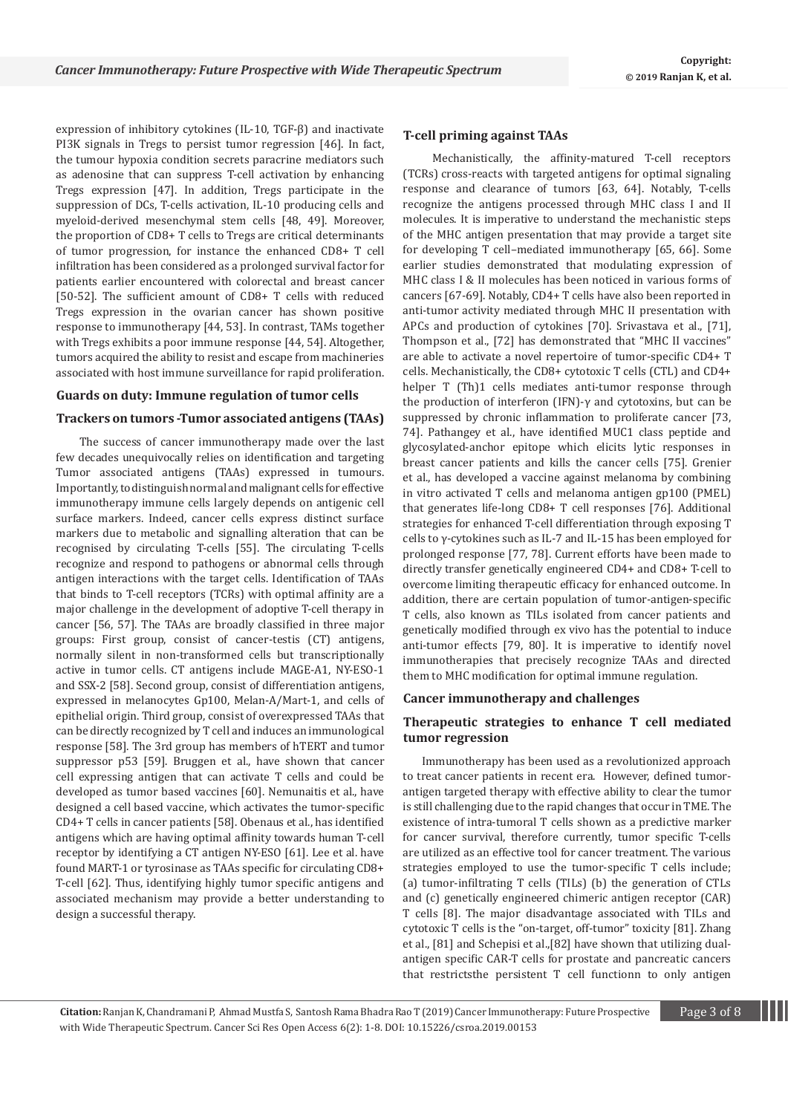expression of inhibitory cytokines (IL-10, TGF-β) and inactivate PI3K signals in Tregs to persist tumor regression [46]. In fact, the tumour hypoxia condition secrets paracrine mediators such as adenosine that can suppress T-cell activation by enhancing Tregs expression [47]. In addition, Tregs participate in the suppression of DCs, T-cells activation, IL-10 producing cells and myeloid-derived mesenchymal stem cells [48, 49]. Moreover, the proportion of CD8+ T cells to Tregs are critical determinants of tumor progression, for instance the enhanced CD8+ T cell infiltration has been considered as a prolonged survival factor for patients earlier encountered with colorectal and breast cancer [50-52]. The sufficient amount of CD8+ T cells with reduced Tregs expression in the ovarian cancer has shown positive response to immunotherapy [44, 53]. In contrast, TAMs together with Tregs exhibits a poor immune response [44, 54]. Altogether, tumors acquired the ability to resist and escape from machineries associated with host immune surveillance for rapid proliferation.

## **Guards on duty: Immune regulation of tumor cells**

## **Trackers on tumors -Tumor associated antigens (TAAs)**

 The success of cancer immunotherapy made over the last few decades unequivocally relies on identification and targeting Tumor associated antigens (TAAs) expressed in tumours. Importantly, to distinguish normal and malignant cells for effective immunotherapy immune cells largely depends on antigenic cell surface markers. Indeed, cancer cells express distinct surface markers due to metabolic and signalling alteration that can be recognised by circulating T-cells [55]. The circulating T-cells recognize and respond to pathogens or abnormal cells through antigen interactions with the target cells. Identification of TAAs that binds to T-cell receptors (TCRs) with optimal affinity are a major challenge in the development of adoptive T-cell therapy in cancer [56, 57]. The TAAs are broadly classified in three major groups: First group, consist of cancer-testis (CT) antigens, normally silent in non-transformed cells but transcriptionally active in tumor cells. CT antigens include MAGE-A1, NY-ESO-1 and SSX-2 [58]. Second group, consist of differentiation antigens, expressed in melanocytes Gp100, Melan-A/Mart-1, and cells of epithelial origin. Third group, consist of overexpressed TAAs that can be directly recognized by T cell and induces an immunological response [58]. The 3rd group has members of hTERT and tumor suppressor p53 [59]. Bruggen et al., have shown that cancer cell expressing antigen that can activate T cells and could be developed as tumor based vaccines [60]. Nemunaitis et al., have designed a cell based vaccine, which activates the tumor-specific CD4+ T cells in cancer patients [58]. Obenaus et al., has identified antigens which are having optimal affinity towards human T-cell receptor by identifying a CT antigen NY-ESO [61]. Lee et al. have found MART-1 or tyrosinase as TAAs specific for circulating CD8+ T-cell [62]. Thus, identifying highly tumor specific antigens and associated mechanism may provide a better understanding to design a successful therapy.

# **T-cell priming against TAAs**

 Mechanistically, the affinity-matured T-cell receptors (TCRs) cross-reacts with targeted antigens for optimal signaling response and clearance of tumors [63, 64]. Notably, T-cells recognize the antigens processed through MHC class I and II molecules. It is imperative to understand the mechanistic steps of the MHC antigen presentation that may provide a target site for developing T cell–mediated immunotherapy [65, 66]. Some earlier studies demonstrated that modulating expression of MHC class I & II molecules has been noticed in various forms of cancers [67-69]. Notably, CD4+ T cells have also been reported in anti-tumor activity mediated through MHC II presentation with APCs and production of cytokines [70]. Srivastava et al., [71], Thompson et al., [72] has demonstrated that "MHC II vaccines" are able to activate a novel repertoire of tumor-specific CD4+ T cells. Mechanistically, the CD8+ cytotoxic T cells (CTL) and CD4+ helper T (Th)1 cells mediates anti-tumor response through the production of interferon (IFN)-γ and cytotoxins, but can be suppressed by chronic inflammation to proliferate cancer [73, 74]. Pathangey et al., have identified MUC1 class peptide and glycosylated-anchor epitope which elicits lytic responses in breast cancer patients and kills the cancer cells [75]. Grenier et al., has developed a vaccine against melanoma by combining in vitro activated T cells and melanoma antigen gp100 (PMEL) that generates life-long CD8+ T cell responses [76]. Additional strategies for enhanced T-cell differentiation through exposing T cells to γ-cytokines such as IL-7 and IL-15 has been employed for prolonged response [77, 78]. Current efforts have been made to directly transfer genetically engineered CD4+ and CD8+ T-cell to overcome limiting therapeutic efficacy for enhanced outcome. In addition, there are certain population of tumor-antigen-specific T cells, also known as TILs isolated from cancer patients and genetically modified through ex vivo has the potential to induce anti-tumor effects [79, 80]. It is imperative to identify novel immunotherapies that precisely recognize TAAs and directed them to MHC modification for optimal immune regulation.

#### **Cancer immunotherapy and challenges**

# **Therapeutic strategies to enhance T cell mediated tumor regression**

Immunotherapy has been used as a revolutionized approach to treat cancer patients in recent era. However, defined tumorantigen targeted therapy with effective ability to clear the tumor is still challenging due to the rapid changes that occur in TME. The existence of intra-tumoral T cells shown as a predictive marker for cancer survival, therefore currently, tumor specific T-cells are utilized as an effective tool for cancer treatment. The various strategies employed to use the tumor-specific T cells include; (a) tumor-infiltrating T cells (TILs) (b) the generation of CTLs and (c) genetically engineered chimeric antigen receptor (CAR) T cells [8]. The major disadvantage associated with TILs and cytotoxic T cells is the "on-target, off-tumor" toxicity [81]. Zhang et al., [81] and Schepisi et al.,[82] have shown that utilizing dualantigen specific CAR-T cells for prostate and pancreatic cancers that restrictsthe persistent T cell functionn to only antigen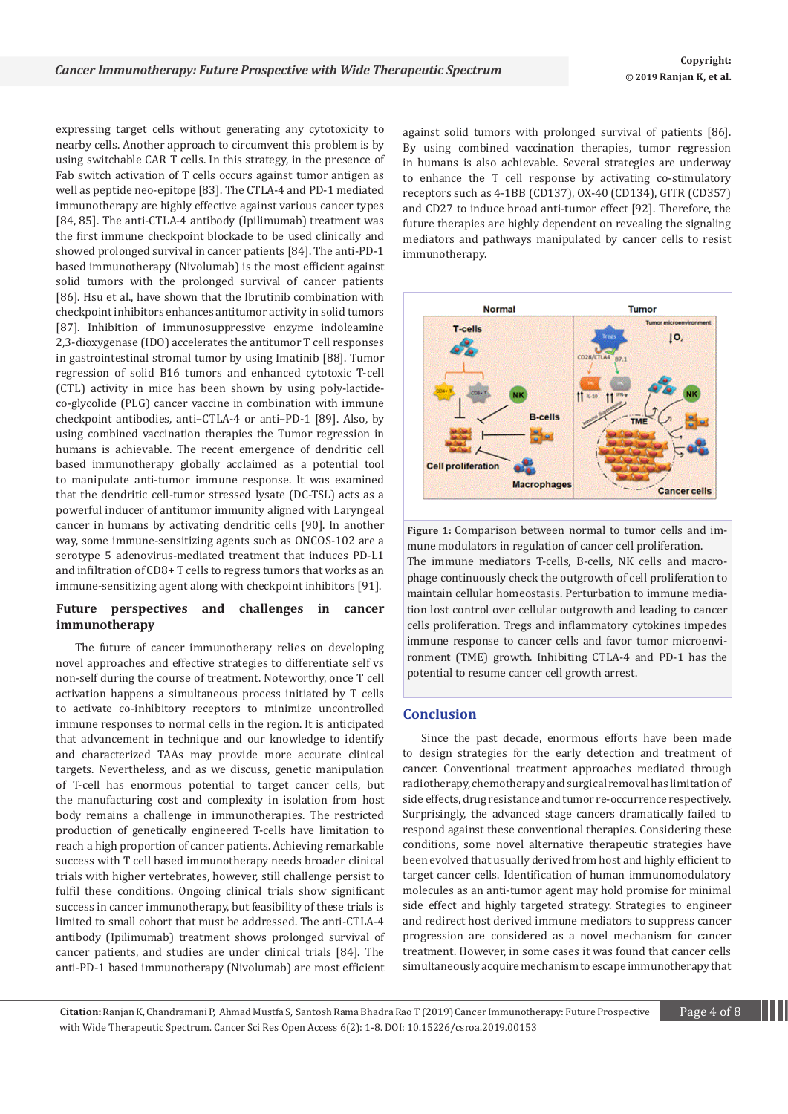expressing target cells without generating any cytotoxicity to nearby cells. Another approach to circumvent this problem is by using switchable CAR T cells. In this strategy, in the presence of Fab switch activation of T cells occurs against tumor antigen as well as peptide neo-epitope [83]. The CTLA-4 and PD-1 mediated immunotherapy are highly effective against various cancer types [84, 85]. The anti-CTLA-4 antibody (Ipilimumab) treatment was the first immune checkpoint blockade to be used clinically and showed prolonged survival in cancer patients [84]. The anti-PD-1 based immunotherapy (Nivolumab) is the most efficient against solid tumors with the prolonged survival of cancer patients [86]. Hsu et al., have shown that the Ibrutinib combination with checkpoint inhibitors enhances antitumor activity in solid tumors [87]. Inhibition of immunosuppressive enzyme indoleamine 2,3-dioxygenase (IDO) accelerates the antitumor T cell responses in gastrointestinal stromal tumor by using Imatinib [88]. Tumor regression of solid B16 tumors and enhanced cytotoxic T-cell (CTL) activity in mice has been shown by using poly-lactideco-glycolide (PLG) cancer vaccine in combination with immune checkpoint antibodies, anti–CTLA-4 or anti–PD-1 [89]. Also, by using combined vaccination therapies the Tumor regression in humans is achievable. The recent emergence of dendritic cell based immunotherapy globally acclaimed as a potential tool to manipulate anti-tumor immune response. It was examined that the dendritic cell-tumor stressed lysate (DC-TSL) acts as a powerful inducer of antitumor immunity aligned with Laryngeal cancer in humans by activating dendritic cells [90]. In another way, some immune-sensitizing agents such as ONCOS-102 are a serotype 5 adenovirus-mediated treatment that induces PD-L1 and infiltration of CD8+ T cells to regress tumors that works as an immune-sensitizing agent along with checkpoint inhibitors [91].

# **Future perspectives and challenges in cancer immunotherapy**

The future of cancer immunotherapy relies on developing novel approaches and effective strategies to differentiate self vs non-self during the course of treatment. Noteworthy, once T cell activation happens a simultaneous process initiated by T cells to activate co-inhibitory receptors to minimize uncontrolled immune responses to normal cells in the region. It is anticipated that advancement in technique and our knowledge to identify and characterized TAAs may provide more accurate clinical targets. Nevertheless, and as we discuss, genetic manipulation of T-cell has enormous potential to target cancer cells, but the manufacturing cost and complexity in isolation from host body remains a challenge in immunotherapies. The restricted production of genetically engineered T-cells have limitation to reach a high proportion of cancer patients. Achieving remarkable success with T cell based immunotherapy needs broader clinical trials with higher vertebrates, however, still challenge persist to fulfil these conditions. Ongoing clinical trials show significant success in cancer immunotherapy, but feasibility of these trials is limited to small cohort that must be addressed. The anti-CTLA-4 antibody (Ipilimumab) treatment shows prolonged survival of cancer patients, and studies are under clinical trials [84]. The anti-PD-1 based immunotherapy (Nivolumab) are most efficient

against solid tumors with prolonged survival of patients [86]. By using combined vaccination therapies, tumor regression in humans is also achievable. Several strategies are underway to enhance the T cell response by activating co-stimulatory receptors such as 4-1BB (CD137), OX-40 (CD134), GITR (CD357) and CD27 to induce broad anti-tumor effect [92]. Therefore, the future therapies are highly dependent on revealing the signaling mediators and pathways manipulated by cancer cells to resist immunotherapy.



**Figure 1:** Comparison between normal to tumor cells and immune modulators in regulation of cancer cell proliferation. The immune mediators T-cells, B-cells, NK cells and macrophage continuously check the outgrowth of cell proliferation to maintain cellular homeostasis. Perturbation to immune mediation lost control over cellular outgrowth and leading to cancer cells proliferation. Tregs and inflammatory cytokines impedes immune response to cancer cells and favor tumor microenvironment (TME) growth. Inhibiting CTLA-4 and PD-1 has the potential to resume cancer cell growth arrest.

# **Conclusion**

Since the past decade, enormous efforts have been made to design strategies for the early detection and treatment of cancer. Conventional treatment approaches mediated through radiotherapy, chemotherapy and surgical removal has limitation of side effects, drug resistance and tumor re-occurrence respectively. Surprisingly, the advanced stage cancers dramatically failed to respond against these conventional therapies. Considering these conditions, some novel alternative therapeutic strategies have been evolved that usually derived from host and highly efficient to target cancer cells. Identification of human immunomodulatory molecules as an anti-tumor agent may hold promise for minimal side effect and highly targeted strategy. Strategies to engineer and redirect host derived immune mediators to suppress cancer progression are considered as a novel mechanism for cancer treatment. However, in some cases it was found that cancer cells simultaneously acquire mechanism to escape immunotherapy that

**Citation:** Ranjan K, Chandramani P, Ahmad Mustfa S, Santosh Rama Bhadra Rao T (2019) Cancer Immunotherapy: Future Prospective Page 4 of 8 with Wide Therapeutic Spectrum. Cancer Sci Res Open Access 6(2): 1-8. DOI[: 10.15226/csroa.2019.0015](http://dx.doi.org/10.15226/csroa.2019.00152)3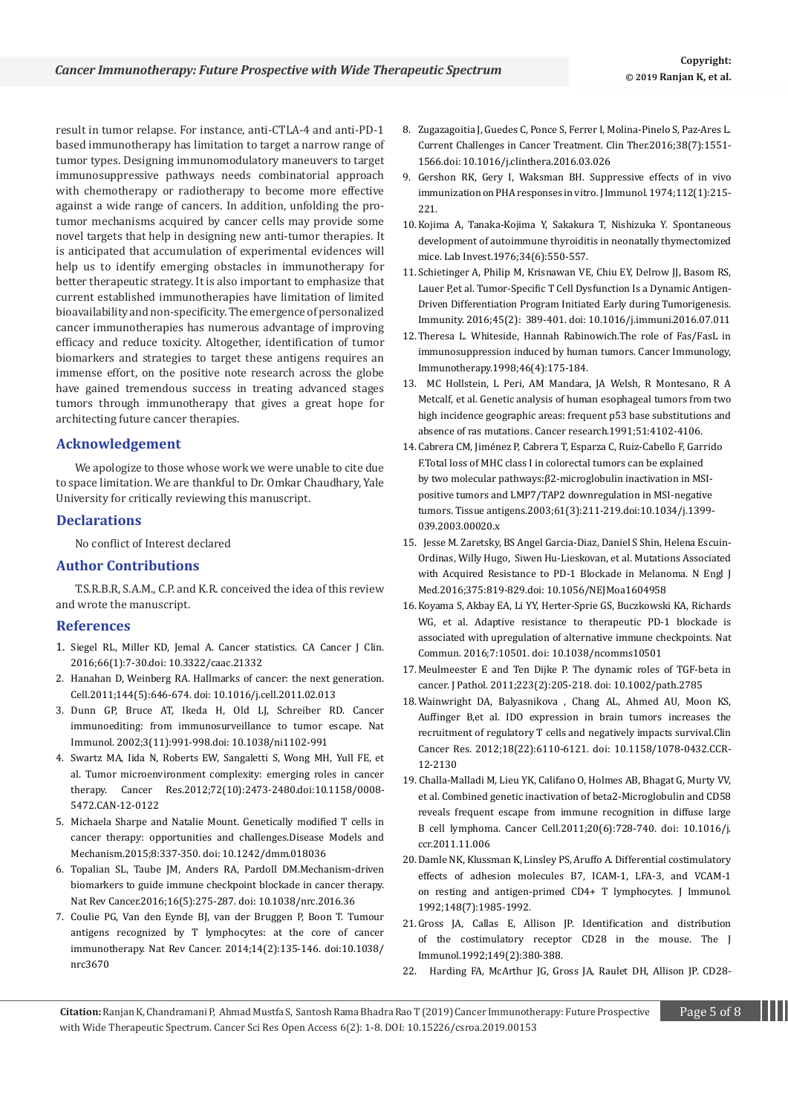result in tumor relapse. For instance, anti-CTLA-4 and anti-PD-1 based immunotherapy has limitation to target a narrow range of tumor types. Designing immunomodulatory maneuvers to target immunosuppressive pathways needs combinatorial approach with chemotherapy or radiotherapy to become more effective against a wide range of cancers. In addition, unfolding the protumor mechanisms acquired by cancer cells may provide some novel targets that help in designing new anti-tumor therapies. It is anticipated that accumulation of experimental evidences will help us to identify emerging obstacles in immunotherapy for better therapeutic strategy. It is also important to emphasize that current established immunotherapies have limitation of limited bioavailability and non-specificity. The emergence of personalized cancer immunotherapies has numerous advantage of improving efficacy and reduce toxicity. Altogether, identification of tumor biomarkers and strategies to target these antigens requires an immense effort, on the positive note research across the globe have gained tremendous success in treating advanced stages tumors through immunotherapy that gives a great hope for architecting future cancer therapies.

# **Acknowledgement**

We apologize to those whose work we were unable to cite due to space limitation. We are thankful to Dr. Omkar Chaudhary, Yale University for critically reviewing this manuscript.

# **Declarations**

No conflict of Interest declared

## **Author Contributions**

T.S.R.B.R, S.A.M., C.P. and K.R. conceived the idea of this review and wrote the manuscript.

## **References**

- 1. [Siegel RL, Miller KD, Jemal A. Cancer statistics. CA Cancer J Clin.](https://www.ncbi.nlm.nih.gov/pubmed/26742998)  [2016;66\(1\):7-30.doi: 10.3322/caac.21332](https://www.ncbi.nlm.nih.gov/pubmed/26742998)
- 2. [Hanahan D, Weinberg RA. Hallmarks of cancer: the next generation.](https://www.ncbi.nlm.nih.gov/pubmed/21376230)  [Cell.2011;144\(5\):646-674. doi: 10.1016/j.cell.2011.02.013](https://www.ncbi.nlm.nih.gov/pubmed/21376230)
- 3. [Dunn GP, Bruce AT, Ikeda H, Old LJ, Schreiber RD. Cancer](https://www.ncbi.nlm.nih.gov/pubmed/12407406)  [immunoediting: from immunosurveillance to tumor escape. Nat](https://www.ncbi.nlm.nih.gov/pubmed/12407406)  [Immunol. 2002;3\(11\):991-998.doi: 10.1038/ni1102-991](https://www.ncbi.nlm.nih.gov/pubmed/12407406)
- 4. [Swartz MA, Iida N, Roberts EW, Sangaletti S, Wong MH, Yull FE, et](https://www.ncbi.nlm.nih.gov/pubmed/22414581)  [al. Tumor microenvironment complexity: emerging roles in cancer](https://www.ncbi.nlm.nih.gov/pubmed/22414581)  [therapy. Cancer Res.2012;72\(10\):2473-2480.doi:10.1158/0008-](https://www.ncbi.nlm.nih.gov/pubmed/22414581) [5472.CAN-12-0122](https://www.ncbi.nlm.nih.gov/pubmed/22414581)
- 5. [Michaela Sharpe and Natalie Mount. Genetically modified T cells in](https://dmm.biologists.org/content/8/4/337)  [cancer therapy: opportunities and challenges.Disease Models and](https://dmm.biologists.org/content/8/4/337)  [Mechanism.2015;8:337-350. doi: 10.1242/dmm.018036](https://dmm.biologists.org/content/8/4/337)
- 6. [Topalian SL, Taube JM, Anders RA, Pardoll DM.Mechanism-driven](https://www.ncbi.nlm.nih.gov/pubmed/27079802)  [biomarkers to guide immune checkpoint blockade in cancer therapy.](https://www.ncbi.nlm.nih.gov/pubmed/27079802)  [Nat Rev Cancer.2016;16\(5\):275-287. doi: 10.1038/nrc.2016.36](https://www.ncbi.nlm.nih.gov/pubmed/27079802)
- 7. [Coulie PG, Van den Eynde BJ, van der Bruggen P, Boon T. Tumour](https://www.ncbi.nlm.nih.gov/pubmed/24457417)  [antigens recognized by T lymphocytes: at the core of cancer](https://www.ncbi.nlm.nih.gov/pubmed/24457417)  [immunotherapy. Nat Rev Cancer. 2014;14\(2\):135-146. doi:10.1038/](https://www.ncbi.nlm.nih.gov/pubmed/24457417) [nrc3670](https://www.ncbi.nlm.nih.gov/pubmed/24457417)
- 8. [Zugazagoitia J, Guedes C, Ponce S, Ferrer I, Molina-Pinelo S, Paz-Ares L.](https://www.ncbi.nlm.nih.gov/pubmed/27158009)  [Current Challenges in Cancer Treatment. Clin Ther.2016;38\(7\):1551-](https://www.ncbi.nlm.nih.gov/pubmed/27158009) [1566.doi: 10.1016/j.clinthera.2016.03.026](https://www.ncbi.nlm.nih.gov/pubmed/27158009)
- 9. [Gershon RK, Gery I, Waksman BH. Suppressive effects of in vivo](https://www.ncbi.nlm.nih.gov/pubmed/4130148)  [immunization on PHA responses in vitro. J Immunol. 1974;112\(1\):215-](https://www.ncbi.nlm.nih.gov/pubmed/4130148) [221.](https://www.ncbi.nlm.nih.gov/pubmed/4130148)
- 10.[Kojima A, Tanaka-Kojima Y, Sakakura T, Nishizuka Y. Spontaneous](https://www.ncbi.nlm.nih.gov/pubmed/947081)  [development of autoimmune thyroiditis in neonatally thymectomized](https://www.ncbi.nlm.nih.gov/pubmed/947081)  [mice. Lab Invest.1976;34\(6\):550-557.](https://www.ncbi.nlm.nih.gov/pubmed/947081)
- 11.[Schietinger A, Philip M, Krisnawan VE, Chiu EY, Delrow JJ, Basom RS,](https://www.ncbi.nlm.nih.gov/pubmed/27521269)  [Lauer P,et al. Tumor-Specific T Cell Dysfunction Is a Dynamic Antigen-](https://www.ncbi.nlm.nih.gov/pubmed/27521269)[Driven Differentiation Program Initiated Early during Tumorigenesis.](https://www.ncbi.nlm.nih.gov/pubmed/27521269)  [Immunity. 2016;45\(2\): 389-401. doi: 10.1016/j.immuni.2016.07.011](https://www.ncbi.nlm.nih.gov/pubmed/27521269)
- 12.[Theresa L. Whiteside, Hannah Rabinowich.The role of Fas/FasL in](https://link.springer.com/article/10.1007/s002620050476)  [immunosuppression induced by human tumors. Cancer Immunology,](https://link.springer.com/article/10.1007/s002620050476)  [Immunotherapy.1998;46\(4\):175-184.](https://link.springer.com/article/10.1007/s002620050476)
- 13. [MC Hollstein, L Peri, AM Mandara, JA Welsh, R Montesano, R A](https://cancerres.aacrjournals.org/content/canres/51/15/4102.full.pdf)  [Metcalf, et al. Genetic analysis of human esophageal tumors from two](https://cancerres.aacrjournals.org/content/canres/51/15/4102.full.pdf)  high incidence geographic areas: frequent p53 base substitutions and [absence of ras mutations. Cancer research.1991;51:4102-4106.](https://cancerres.aacrjournals.org/content/canres/51/15/4102.full.pdf)
- 14.[Cabrera CM, Jiménez P, Cabrera T, Esparza C, Ruiz-Cabello F, Garrido](https://www.ncbi.nlm.nih.gov/pubmed/12694570)  [F.Total loss of MHC class I in colorectal tumors can be explained](https://www.ncbi.nlm.nih.gov/pubmed/12694570)  [by two molecular pathways:β2-microglobulin inactivation in MSI](https://www.ncbi.nlm.nih.gov/pubmed/12694570)[positive tumors and LMP7/TAP2 downregulation in MSI-negative](https://www.ncbi.nlm.nih.gov/pubmed/12694570)  [tumors. Tissue antigens.2003;61\(3\):211-219.doi:10.1034/j.1399-](https://www.ncbi.nlm.nih.gov/pubmed/12694570) [039.2003.00020.x](https://www.ncbi.nlm.nih.gov/pubmed/12694570)
- 15. [Jesse M. Zaretsky, BS Angel Garcia-Diaz, Daniel S Shin, Helena Escuin-](https://www.nejm.org/doi/full/10.1056/NEJMoa1604958)[Ordinas, Willy Hugo, Siwen Hu-Lieskovan, et al. Mutations Associated](https://www.nejm.org/doi/full/10.1056/NEJMoa1604958)  [with Acquired Resistance to PD-1 Blockade in Melanoma. N Engl J](https://www.nejm.org/doi/full/10.1056/NEJMoa1604958)  [Med.2016;375:819-829.doi: 10.1056/NEJMoa1604958](https://www.nejm.org/doi/full/10.1056/NEJMoa1604958)
- 16.[Koyama S, Akbay EA, Li YY, Herter-Sprie GS, Buczkowski KA, Richards](https://www.ncbi.nlm.nih.gov/pubmed/26883990)  [WG, et al. Adaptive resistance to therapeutic PD-1 blockade is](https://www.ncbi.nlm.nih.gov/pubmed/26883990)  [associated with upregulation of alternative immune checkpoints. Nat](https://www.ncbi.nlm.nih.gov/pubmed/26883990)  [Commun. 2016;7:10501. doi: 10.1038/ncomms10501](https://www.ncbi.nlm.nih.gov/pubmed/26883990)
- 17.[Meulmeester E and Ten Dijke P. The dynamic roles of TGF-beta in](https://www.ncbi.nlm.nih.gov/pubmed/20957627)  [cancer. J Pathol. 2011;223\(2\):205-218. doi: 10.1002/path.2785](https://www.ncbi.nlm.nih.gov/pubmed/20957627)
- 18.[Wainwright DA, Balyasnikova , Chang AL, Ahmed AU, Moon KS,](https://www.ncbi.nlm.nih.gov/pubmed/22932670)  [Auffinger B,et al. IDO expression in brain tumors increases the](https://www.ncbi.nlm.nih.gov/pubmed/22932670)  [recruitment of regulatory T cells and negatively impacts survival.Clin](https://www.ncbi.nlm.nih.gov/pubmed/22932670)  [Cancer Res. 2012;18\(22\):6110-6121. doi: 10.1158/1078-0432.CCR-](https://www.ncbi.nlm.nih.gov/pubmed/22932670)[12-2130](https://www.ncbi.nlm.nih.gov/pubmed/22932670)
- 19. [Challa-Malladi M, Lieu YK, Califano O, Holmes AB, Bhagat G, Murty VV,](https://www.ncbi.nlm.nih.gov/pubmed/22137796)  [et al. Combined genetic inactivation of beta2-Microglobulin and CD58](https://www.ncbi.nlm.nih.gov/pubmed/22137796)  [reveals frequent escape from immune recognition in diffuse large](https://www.ncbi.nlm.nih.gov/pubmed/22137796)  [B cell lymphoma. Cancer Cell.2011;20\(6\):728-740. doi: 10.1016/j.](https://www.ncbi.nlm.nih.gov/pubmed/22137796) [ccr.2011.11.006](https://www.ncbi.nlm.nih.gov/pubmed/22137796)
- 20.[Damle NK, Klussman K, Linsley PS, Aruffo A. Differential costimulatory](https://www.ncbi.nlm.nih.gov/pubmed/1372018)  [effects of adhesion molecules B7, ICAM-1, LFA-3, and VCAM-1](https://www.ncbi.nlm.nih.gov/pubmed/1372018)  [on resting and antigen-primed CD4+ T lymphocytes. J Immunol.](https://www.ncbi.nlm.nih.gov/pubmed/1372018)  [1992;148\(7\):1985-1992.](https://www.ncbi.nlm.nih.gov/pubmed/1372018)
- 21.[Gross JA, Callas E, Allison JP. Identification and distribution](https://www.ncbi.nlm.nih.gov/pubmed/1320641)  [of the costimulatory receptor CD28 in the mouse. The J](https://www.ncbi.nlm.nih.gov/pubmed/1320641)  [Immunol.1992;149\(2\):380-388.](https://www.ncbi.nlm.nih.gov/pubmed/1320641)
- 22. [Harding FA, McArthur JG, Gross JA, Raulet DH, Allison JP. CD28-](https://www.ncbi.nlm.nih.gov/pubmed/1313950)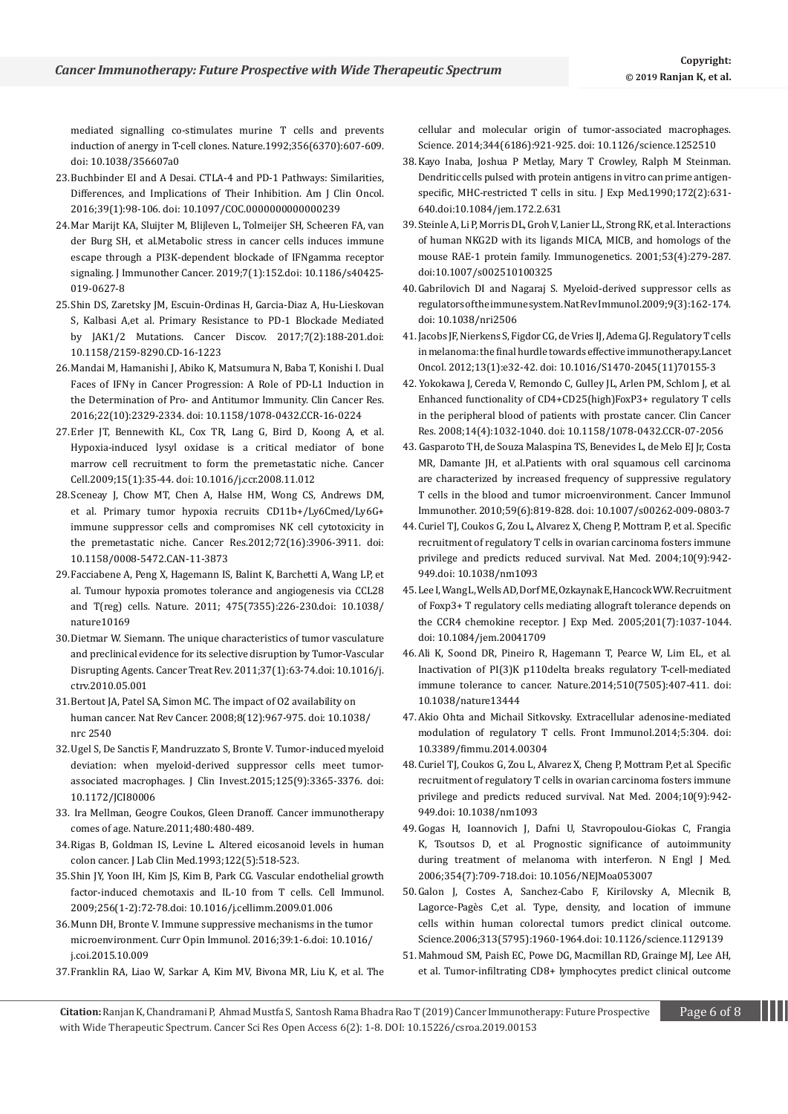[mediated signalling co-stimulates murine T cells and prevents](https://www.ncbi.nlm.nih.gov/pubmed/1313950)  [induction of anergy in T-cell clones. Nature.1992;356\(6370\):607-609.](https://www.ncbi.nlm.nih.gov/pubmed/1313950) [doi: 10.1038/356607a0](https://www.ncbi.nlm.nih.gov/pubmed/1313950)

- 23.[Buchbinder EI and A Desai. CTLA-4 and PD-1 Pathways: Similarities,](file:///C:/Users/srinivas/Desktop/2019/Nov2019/works/CSROA-19-RW-181/ncbi.nlm.nih.gov/pubmed/26558876)  [Differences, and Implications of Their Inhibition. Am J Clin Oncol.](file:///C:/Users/srinivas/Desktop/2019/Nov2019/works/CSROA-19-RW-181/ncbi.nlm.nih.gov/pubmed/26558876)  [2016;39\(1\):98-106. doi: 10.1097/COC.0000000000000239](file:///C:/Users/srinivas/Desktop/2019/Nov2019/works/CSROA-19-RW-181/ncbi.nlm.nih.gov/pubmed/26558876)
- 24.[Mar Marijt KA, Sluijter M, Blijleven L, Tolmeijer SH, Scheeren FA, van](https://www.ncbi.nlm.nih.gov/pubmed/31196219)  [der Burg SH, et al.Metabolic stress in cancer cells induces immune](https://www.ncbi.nlm.nih.gov/pubmed/31196219)  [escape through a PI3K-dependent blockade of IFNgamma receptor](https://www.ncbi.nlm.nih.gov/pubmed/31196219)  [signaling. J Immunother Cancer. 2019;7\(1\):152.doi: 10.1186/s40425-](https://www.ncbi.nlm.nih.gov/pubmed/31196219) [019-0627-8](https://www.ncbi.nlm.nih.gov/pubmed/31196219)
- 25.[Shin DS, Zaretsky JM, Escuin-Ordinas H, Garcia-Diaz A, Hu-Lieskovan](https://www.ncbi.nlm.nih.gov/pubmed/27903500)  [S, Kalbasi A,et al. Primary Resistance to PD-1 Blockade Mediated](https://www.ncbi.nlm.nih.gov/pubmed/27903500)  [by JAK1/2 Mutations. Cancer Discov. 2017;7\(2\):188-201.doi:](https://www.ncbi.nlm.nih.gov/pubmed/27903500)  [10.1158/2159-8290.CD-16-1223](https://www.ncbi.nlm.nih.gov/pubmed/27903500)
- 26.[Mandai M, Hamanishi J, Abiko K, Matsumura N, Baba T, Konishi I. Dual](https://www.ncbi.nlm.nih.gov/pubmed/27016309)  [Faces of IFNγ in Cancer Progression: A Role of PD-L1 Induction in](https://www.ncbi.nlm.nih.gov/pubmed/27016309)  [the Determination of Pro- and Antitumor Immunity. Clin Cancer Res.](https://www.ncbi.nlm.nih.gov/pubmed/27016309)  [2016;22\(10\):2329-2334. doi: 10.1158/1078-0432.CCR-16-0224](https://www.ncbi.nlm.nih.gov/pubmed/27016309)
- 27.[Erler JT, Bennewith KL, Cox TR, Lang G, Bird D, Koong A, et al.](https://www.ncbi.nlm.nih.gov/pubmed/19111879)  [Hypoxia-induced lysyl oxidase is a critical mediator of bone](https://www.ncbi.nlm.nih.gov/pubmed/19111879)  [marrow cell recruitment to form the premetastatic niche. Cancer](https://www.ncbi.nlm.nih.gov/pubmed/19111879)  [Cell.2009;15\(1\):35-44. doi: 10.1016/j.ccr.2008.11.012](https://www.ncbi.nlm.nih.gov/pubmed/19111879)
- 28.[Sceneay J, Chow MT, Chen A, Halse HM, Wong CS, Andrews DM,](https://www.ncbi.nlm.nih.gov/pubmed/22751463)  [et al. Primary tumor hypoxia recruits CD11b+/Ly6Cmed/Ly6G+](https://www.ncbi.nlm.nih.gov/pubmed/22751463)  [immune suppressor cells and compromises NK cell cytotoxicity in](https://www.ncbi.nlm.nih.gov/pubmed/22751463)  [the premetastatic niche. Cancer Res.2012;72\(16\):3906-3911. doi:](https://www.ncbi.nlm.nih.gov/pubmed/22751463)  [10.1158/0008-5472.CAN-11-3873](https://www.ncbi.nlm.nih.gov/pubmed/22751463)
- 29.[Facciabene A, Peng X, Hagemann IS, Balint K, Barchetti A, Wang LP, et](https://www.ncbi.nlm.nih.gov/pubmed/21753853)  [al. Tumour hypoxia promotes tolerance and angiogenesis via CCL28](https://www.ncbi.nlm.nih.gov/pubmed/21753853)  [and T\(reg\) cells. Nature. 2011; 475\(7355\):226-230.doi: 10.1038/](https://www.ncbi.nlm.nih.gov/pubmed/21753853) [nature10169](https://www.ncbi.nlm.nih.gov/pubmed/21753853)
- 30.[Dietmar W. Siemann. The unique characteristics of tumor vasculature](https://www.ncbi.nlm.nih.gov/pmc/articles/PMC2958232/)  [and preclinical evidence for its selective disruption by Tumor-Vascular](https://www.ncbi.nlm.nih.gov/pmc/articles/PMC2958232/)  [Disrupting Agents. Cancer Treat Rev. 2011;37\(1\):63-74.doi: 10.1016/j.](https://www.ncbi.nlm.nih.gov/pmc/articles/PMC2958232/) [ctrv.2010.05.001](https://www.ncbi.nlm.nih.gov/pmc/articles/PMC2958232/)
- 31.[Bertout JA, Patel SA, Simon MC. The impact of O2 availability on](https://www.ncbi.nlm.nih.gov/pubmed/18987634)  [human cancer. Nat Rev Cancer. 2008;8\(12\):967-975. doi: 10.1038/](https://www.ncbi.nlm.nih.gov/pubmed/18987634) [nrc 2540](https://www.ncbi.nlm.nih.gov/pubmed/18987634)
- 32.[Ugel S, De Sanctis F, Mandruzzato S, Bronte V. Tumor-induced myeloid](https://www.ncbi.nlm.nih.gov/pubmed/26325033)  [deviation: when myeloid-derived suppressor cells meet tumor](https://www.ncbi.nlm.nih.gov/pubmed/26325033)[associated macrophages. J Clin Invest.2015;125\(9\):3365-3376. doi:](https://www.ncbi.nlm.nih.gov/pubmed/26325033)  [10.1172/JCI80006](https://www.ncbi.nlm.nih.gov/pubmed/26325033)
- 33. [Ira Mellman, Geogre Coukos, Gleen Dranoff. Cancer immunotherapy](https://www.nature.com/articles/nature10673)  [comes of age. Nature.2011;480:480-489.](https://www.nature.com/articles/nature10673)
- 34.[Rigas B, Goldman IS, Levine L. Altered eicosanoid levels in human](https://www.ncbi.nlm.nih.gov/pubmed/8228569)  [colon cancer. J Lab Clin Med.1993;122\(5\):518-523.](https://www.ncbi.nlm.nih.gov/pubmed/8228569)
- 35.[Shin JY, Yoon IH, Kim JS, Kim B, Park CG. Vascular endothelial growth](https://www.ncbi.nlm.nih.gov/pubmed/19249018)  [factor-induced chemotaxis and IL-10 from T cells. Cell Immunol.](https://www.ncbi.nlm.nih.gov/pubmed/19249018)  [2009;256\(1-2\):72-78.doi: 10.1016/j.cellimm.2009.01.006](https://www.ncbi.nlm.nih.gov/pubmed/19249018)
- 36.[Munn DH, Bronte V. Immune suppressive mechanisms in the tumor](https://www.ncbi.nlm.nih.gov/pubmed/26609943)  [microenvironment. Curr Opin Immunol. 2016;39:1-6.doi: 10.1016/](https://www.ncbi.nlm.nih.gov/pubmed/26609943)  [j.coi.2015.10.009](https://www.ncbi.nlm.nih.gov/pubmed/26609943)
- 37.[Franklin RA, Liao W, Sarkar A, Kim MV, Bivona MR, Liu K, et al. The](https://www.ncbi.nlm.nih.gov/pubmed/24812208)

[cellular and molecular origin of tumor-associated macrophages.](https://www.ncbi.nlm.nih.gov/pubmed/24812208)  [Science. 2014;344\(6186\):921-925. doi: 10.1126/science.1252510](https://www.ncbi.nlm.nih.gov/pubmed/24812208)

- 38.[Kayo Inaba, Joshua P Metlay, Mary T Crowley, Ralph M Steinman.](https://www.ncbi.nlm.nih.gov/pmc/articles/PMC2188342/)  [Dendritic cells pulsed with protein antigens in vitro can prime antigen](https://www.ncbi.nlm.nih.gov/pmc/articles/PMC2188342/)[specific, MHC-restricted T cells in situ. J Exp Med.1990;172\(2\):631-](https://www.ncbi.nlm.nih.gov/pmc/articles/PMC2188342/) [640.doi:10.1084/jem.172.2.631](https://www.ncbi.nlm.nih.gov/pmc/articles/PMC2188342/)
- 39.[Steinle A, Li P, Morris DL, Groh V, Lanier LL, Strong RK, et al. Interactions](https://www.ncbi.nlm.nih.gov/pubmed/11491531)  [of human NKG2D with its ligands MICA, MICB, and homologs of the](https://www.ncbi.nlm.nih.gov/pubmed/11491531)  [mouse RAE-1 protein family. Immunogenetics. 2001;53\(4\):279-287.](https://www.ncbi.nlm.nih.gov/pubmed/11491531) [doi:10.1007/s002510100325](https://www.ncbi.nlm.nih.gov/pubmed/11491531)
- 40.[Gabrilovich DI and Nagaraj S. Myeloid-derived suppressor cells as](https://www.ncbi.nlm.nih.gov/pubmed/19197294)  [regulators of the immune system. Nat Rev Immunol.2009;9\(3\):162-174.](https://www.ncbi.nlm.nih.gov/pubmed/19197294) [doi: 10.1038/nri2506](https://www.ncbi.nlm.nih.gov/pubmed/19197294)
- 41.[Jacobs JF, Nierkens S, Figdor CG, de Vries IJ, Adema GJ. Regulatory T cells](https://www.ncbi.nlm.nih.gov/pubmed/22225723)  [in melanoma: the final hurdle towards effective immunotherapy.Lancet](https://www.ncbi.nlm.nih.gov/pubmed/22225723)  [Oncol. 2012;13\(1\):e32-42. doi: 10.1016/S1470-2045\(11\)70155-3](https://www.ncbi.nlm.nih.gov/pubmed/22225723)
- 42. [Yokokawa J, Cereda V, Remondo C, Gulley JL, Arlen PM, Schlom J, et al.](https://www.ncbi.nlm.nih.gov/pubmed/18281535)  [Enhanced functionality of CD4+CD25\(high\)FoxP3+ regulatory T cells](https://www.ncbi.nlm.nih.gov/pubmed/18281535)  [in the peripheral blood of patients with prostate cancer. Clin Cancer](https://www.ncbi.nlm.nih.gov/pubmed/18281535)  [Res. 2008;14\(4\):1032-1040. doi: 10.1158/1078-0432.CCR-07-2056](https://www.ncbi.nlm.nih.gov/pubmed/18281535)
- 43. [Gasparoto TH, de Souza Malaspina TS, Benevides L, de Melo EJ Jr, Costa](https://www.ncbi.nlm.nih.gov/pubmed/20012605)  [MR, Damante JH, et al.Patients with oral squamous cell carcinoma](https://www.ncbi.nlm.nih.gov/pubmed/20012605)  [are characterized by increased frequency of suppressive regulatory](https://www.ncbi.nlm.nih.gov/pubmed/20012605)  [T cells in the blood and tumor microenvironment. Cancer Immunol](https://www.ncbi.nlm.nih.gov/pubmed/20012605)  [Immunother. 2010;59\(6\):819-828. doi: 10.1007/s00262-009-0803-7](https://www.ncbi.nlm.nih.gov/pubmed/20012605)
- 44.[Curiel TJ, Coukos G, Zou L, Alvarez X, Cheng P, Mottram P, et al. Specific](https://www.ncbi.nlm.nih.gov/pubmed/15322536)  [recruitment of regulatory T cells in ovarian carcinoma fosters immune](https://www.ncbi.nlm.nih.gov/pubmed/15322536)  [privilege and predicts reduced survival. Nat Med. 2004;10\(9\):942-](https://www.ncbi.nlm.nih.gov/pubmed/15322536) [949.doi: 10.1038/nm1093](https://www.ncbi.nlm.nih.gov/pubmed/15322536)
- 45.[Lee I, Wang L, Wells AD, Dorf ME, Ozkaynak E, Hancock WW. Recruitment](https://www.ncbi.nlm.nih.gov/pubmed/15809349)  [of Foxp3+ T regulatory cells mediating allograft tolerance depends on](https://www.ncbi.nlm.nih.gov/pubmed/15809349)  [the CCR4 chemokine receptor. J Exp Med. 2005;201\(7\):1037-1044.](https://www.ncbi.nlm.nih.gov/pubmed/15809349) [doi: 10.1084/jem.20041709](https://www.ncbi.nlm.nih.gov/pubmed/15809349)
- 46.[Ali K, Soond DR, Pineiro R, Hagemann T, Pearce W, Lim EL, et al.](https://www.ncbi.nlm.nih.gov/pubmed/24919154)  [Inactivation of PI\(3\)K p110delta breaks regulatory T-cell-mediated](https://www.ncbi.nlm.nih.gov/pubmed/24919154)  [immune tolerance to cancer. Nature.2014;510\(7505\):407-411. doi:](https://www.ncbi.nlm.nih.gov/pubmed/24919154)  [10.1038/nature13444](https://www.ncbi.nlm.nih.gov/pubmed/24919154)
- 47.[Akio Ohta and Michail Sitkovsky. Extracellular adenosine-mediated](https://www.ncbi.nlm.nih.gov/pmc/articles/PMC4091046/)  [modulation of regulatory T cells. Front Immunol.2014;5:304. doi:](https://www.ncbi.nlm.nih.gov/pmc/articles/PMC4091046/)  [10.3389/fimmu.2014.00304](https://www.ncbi.nlm.nih.gov/pmc/articles/PMC4091046/)
- 48.[Curiel TJ, Coukos G, Zou L, Alvarez X, Cheng P, Mottram P,et al. Specific](https://www.ncbi.nlm.nih.gov/pubmed/15322536)  [recruitment of regulatory T cells in ovarian carcinoma fosters immune](https://www.ncbi.nlm.nih.gov/pubmed/15322536)  [privilege and predicts reduced survival. Nat Med. 2004;10\(9\):942-](https://www.ncbi.nlm.nih.gov/pubmed/15322536) [949.doi: 10.1038/nm1093](https://www.ncbi.nlm.nih.gov/pubmed/15322536)
- 49.[Gogas H, Ioannovich J, Dafni U, Stavropoulou-Giokas C, Frangia](https://www.ncbi.nlm.nih.gov/pubmed/16481638)  [K, Tsoutsos D, et al. Prognostic significance of autoimmunity](https://www.ncbi.nlm.nih.gov/pubmed/16481638)  [during treatment of melanoma with interferon. N Engl J Med.](https://www.ncbi.nlm.nih.gov/pubmed/16481638)  [2006;354\(7\):709-718.doi: 10.1056/NEJMoa053007](https://www.ncbi.nlm.nih.gov/pubmed/16481638)
- 50.[Galon J, Costes A, Sanchez-Cabo F, Kirilovsky A, Mlecnik B,](https://www.ncbi.nlm.nih.gov/pubmed/17008531)  [Lagorce-Pagès C,et al. Type, density, and location of immune](https://www.ncbi.nlm.nih.gov/pubmed/17008531)  [cells within human colorectal tumors predict clinical outcome.](https://www.ncbi.nlm.nih.gov/pubmed/17008531)  [Science.2006;313\(5795\):1960-1964.doi: 10.1126/science.1129139](https://www.ncbi.nlm.nih.gov/pubmed/17008531)
- 51.[Mahmoud SM, Paish EC, Powe DG, Macmillan RD, Grainge MJ, Lee AH,](https://www.ncbi.nlm.nih.gov/pubmed/21483002)  [et al. Tumor-infiltrating CD8+ lymphocytes predict clinical outcome](https://www.ncbi.nlm.nih.gov/pubmed/21483002)
- **Citation:** Ranjan K, Chandramani P, Ahmad Mustfa S, Santosh Rama Bhadra Rao T (2019) Cancer Immunotherapy: Future Prospective Page 6 of 8 with Wide Therapeutic Spectrum. Cancer Sci Res Open Access 6(2): 1-8. DOI[: 10.15226/csroa.2019.0015](http://dx.doi.org/10.15226/csroa.2019.00152)3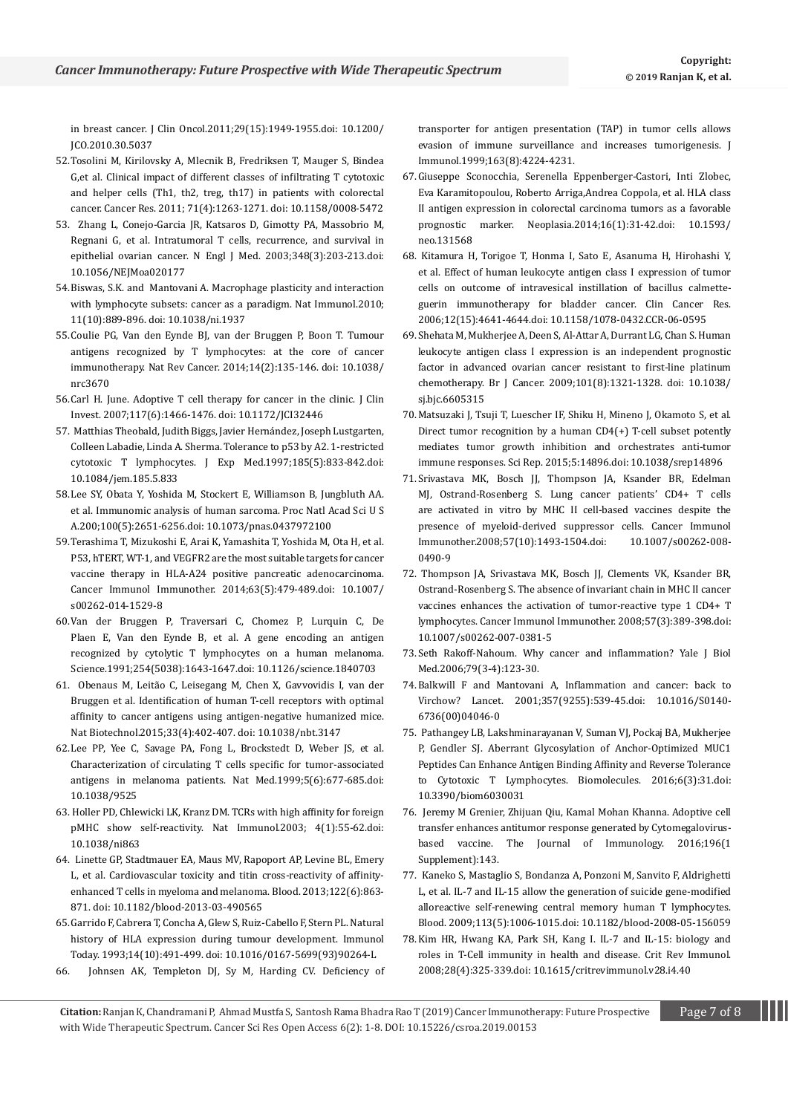[in breast cancer. J Clin Oncol.2011;29\(15\):1949-1955.doi: 10.1200/](https://www.ncbi.nlm.nih.gov/pubmed/21483002) [JCO.2010.30.5037](https://www.ncbi.nlm.nih.gov/pubmed/21483002)

- 52.[Tosolini M, Kirilovsky A, Mlecnik B, Fredriksen T, Mauger S, Bindea](https://www.ncbi.nlm.nih.gov/pubmed/21303976)  [G,et al. Clinical impact of different classes of infiltrating T cytotoxic](https://www.ncbi.nlm.nih.gov/pubmed/21303976)  [and helper cells \(Th1, th2, treg, th17\) in patients with colorectal](https://www.ncbi.nlm.nih.gov/pubmed/21303976)  [cancer. Cancer Res. 2011; 71\(4\):1263-1271. doi: 10.1158/0008-5472](https://www.ncbi.nlm.nih.gov/pubmed/21303976)
- 53. [Zhang L, Conejo-Garcia JR, Katsaros D, Gimotty PA, Massobrio M,](https://www.ncbi.nlm.nih.gov/pubmed/12529460)  [Regnani G, et al. Intratumoral T cells, recurrence, and survival in](https://www.ncbi.nlm.nih.gov/pubmed/12529460)  [epithelial ovarian cancer. N Engl J Med. 2003;348\(3\):203-213.doi:](https://www.ncbi.nlm.nih.gov/pubmed/12529460)  [10.1056/NEJMoa020177](https://www.ncbi.nlm.nih.gov/pubmed/12529460)
- 54.[Biswas, S.K. and Mantovani A. Macrophage plasticity and interaction](https://www.ncbi.nlm.nih.gov/pubmed/20856220)  [with lymphocyte subsets: cancer as a paradigm. Nat Immunol.2010;](https://www.ncbi.nlm.nih.gov/pubmed/20856220)  [11\(10\):889-896. doi: 10.1038/ni.1937](https://www.ncbi.nlm.nih.gov/pubmed/20856220)
- 55.[Coulie PG, Van den Eynde BJ, van der Bruggen P, Boon T. Tumour](https://www.ncbi.nlm.nih.gov/pubmed/24457417)  [antigens recognized by T lymphocytes: at the core of cancer](https://www.ncbi.nlm.nih.gov/pubmed/24457417)  [immunotherapy. Nat Rev Cancer. 2014;14\(2\):135-146. doi: 10.1038/](https://www.ncbi.nlm.nih.gov/pubmed/24457417) [nrc3670](https://www.ncbi.nlm.nih.gov/pubmed/24457417)
- 56.[Carl H. June. Adoptive T cell therapy for cancer in the clinic. J Clin](https://www.ncbi.nlm.nih.gov/pmc/articles/PMC1878537/)  [Invest. 2007;117\(6\):1466-1476. doi: 10.1172/JCI32446](https://www.ncbi.nlm.nih.gov/pmc/articles/PMC1878537/)
- 57. [Matthias Theobald, Judith Biggs, Javier Hernández, Joseph Lustgarten,](https://www.ncbi.nlm.nih.gov/pmc/articles/PMC2196170/)  [Colleen Labadie, Linda A. Sherma. Tolerance to p53 by A2. 1-restricted](https://www.ncbi.nlm.nih.gov/pmc/articles/PMC2196170/)  [cytotoxic T lymphocytes. J Exp Med.1997;185\(5\):833-842.doi:](https://www.ncbi.nlm.nih.gov/pmc/articles/PMC2196170/)  [10.1084/jem.185.5.833](https://www.ncbi.nlm.nih.gov/pmc/articles/PMC2196170/)
- 58.[Lee SY, Obata Y, Yoshida M, Stockert E, Williamson B, Jungbluth AA.](https://www.ncbi.nlm.nih.gov/pubmed/12601173)  [et al. Immunomic analysis of human sarcoma. Proc Natl Acad Sci U S](https://www.ncbi.nlm.nih.gov/pubmed/12601173)  [A.200;100\(5\):2651-6256.doi: 10.1073/pnas.0437972100](https://www.ncbi.nlm.nih.gov/pubmed/12601173)
- 59.[Terashima T, Mizukoshi E, Arai K, Yamashita T, Yoshida M, Ota H, et al.](https://www.ncbi.nlm.nih.gov/pubmed/24633336)  [P53, hTERT, WT-1, and VEGFR2 are the most suitable targets for cancer](https://www.ncbi.nlm.nih.gov/pubmed/24633336)  [vaccine therapy in HLA-A24 positive pancreatic adenocarcinoma.](https://www.ncbi.nlm.nih.gov/pubmed/24633336)  [Cancer Immunol Immunother. 2014;63\(5\):479-489.doi: 10.1007/](https://www.ncbi.nlm.nih.gov/pubmed/24633336) [s00262-014-1529-8](https://www.ncbi.nlm.nih.gov/pubmed/24633336)
- 60.[Van der Bruggen P, Traversari C, Chomez P, Lurquin C, De](https://www.ncbi.nlm.nih.gov/pubmed/1840703)  [Plaen E, Van den Eynde B, et al. A gene encoding an antigen](https://www.ncbi.nlm.nih.gov/pubmed/1840703)  [recognized by cytolytic T lymphocytes on a human melanoma.](https://www.ncbi.nlm.nih.gov/pubmed/1840703)  [Science.1991;254\(5038\):1643-1647.doi: 10.1126/science.1840703](https://www.ncbi.nlm.nih.gov/pubmed/1840703)
- 61. [Obenaus M, Leitão C, Leisegang M, Chen X, Gavvovidis I, van der](https://www.ncbi.nlm.nih.gov/pubmed/25774714)  [Bruggen et al. Identification of human T-cell receptors with optimal](https://www.ncbi.nlm.nih.gov/pubmed/25774714)  [affinity to cancer antigens using antigen-negative humanized mice.](https://www.ncbi.nlm.nih.gov/pubmed/25774714)  [Nat Biotechnol.2015;33\(4\):402-407. doi: 10.1038/nbt.3147](https://www.ncbi.nlm.nih.gov/pubmed/25774714)
- 62.[Lee PP, Yee C, Savage PA, Fong L, Brockstedt D, Weber JS, et al.](https://www.ncbi.nlm.nih.gov/pubmed/10371507)  [Characterization of circulating T cells specific for tumor-associated](https://www.ncbi.nlm.nih.gov/pubmed/10371507)  [antigens in melanoma patients. Nat Med.1999;5\(6\):677-685.doi:](https://www.ncbi.nlm.nih.gov/pubmed/10371507)  [10.1038/9525](https://www.ncbi.nlm.nih.gov/pubmed/10371507)
- 63. [Holler PD, Chlewicki LK, Kranz DM. TCRs with high affinity for foreign](https://www.ncbi.nlm.nih.gov/pubmed/12469116)  [pMHC show self-reactivity. Nat Immunol.2003; 4\(1\):55-62.doi:](https://www.ncbi.nlm.nih.gov/pubmed/12469116)  [10.1038/ni863](https://www.ncbi.nlm.nih.gov/pubmed/12469116)
- 64. [Linette GP, Stadtmauer EA, Maus MV, Rapoport AP, Levine BL, Emery](https://www.ncbi.nlm.nih.gov/pubmed/23770775)  [L, et al. Cardiovascular toxicity and titin cross-reactivity of affinity](https://www.ncbi.nlm.nih.gov/pubmed/23770775)[enhanced T cells in myeloma and melanoma. Blood. 2013;122\(6\):863-](https://www.ncbi.nlm.nih.gov/pubmed/23770775) [871. doi: 10.1182/blood-2013-03-490565](https://www.ncbi.nlm.nih.gov/pubmed/23770775)
- 65.[Garrido F, Cabrera T, Concha A, Glew S, Ruiz-Cabello F, Stern PL. Natural](https://www.ncbi.nlm.nih.gov/pubmed/8274189)  [history of HLA expression during tumour development. Immunol](https://www.ncbi.nlm.nih.gov/pubmed/8274189)  [Today. 1993;14\(10\):491-499. doi: 10.1016/0167-5699\(93\)90264-L](https://www.ncbi.nlm.nih.gov/pubmed/8274189)
- 66. [Johnsen AK, Templeton DJ, Sy M, Harding CV. Deficiency of](https://www.ncbi.nlm.nih.gov/pubmed/10510359)

[transporter for antigen presentation \(TAP\) in tumor cells allows](https://www.ncbi.nlm.nih.gov/pubmed/10510359)  [evasion of immune surveillance and increases tumorigenesis. J](https://www.ncbi.nlm.nih.gov/pubmed/10510359)  [Immunol.1999;163\(8\):4224-4231.](https://www.ncbi.nlm.nih.gov/pubmed/10510359)

- 67.[Giuseppe Sconocchia, Serenella Eppenberger-Castori, Inti Zlobec,](https://www.ncbi.nlm.nih.gov/pmc/articles/PMC3924546/)  [Eva Karamitopoulou, Roberto Arriga,Andrea Coppola, et al. HLA class](https://www.ncbi.nlm.nih.gov/pmc/articles/PMC3924546/)  [II antigen expression in colorectal carcinoma tumors as a favorable](https://www.ncbi.nlm.nih.gov/pmc/articles/PMC3924546/)  [prognostic marker. Neoplasia.2014;16\(1\):31-42.doi: 10.1593/](https://www.ncbi.nlm.nih.gov/pmc/articles/PMC3924546/) [neo.131568](https://www.ncbi.nlm.nih.gov/pmc/articles/PMC3924546/)
- 68. [Kitamura H, Torigoe T, Honma I, Sato E, Asanuma H, Hirohashi Y,](https://www.ncbi.nlm.nih.gov/pubmed/16899613)  [et al. Effect of human leukocyte antigen class I expression of tumor](https://www.ncbi.nlm.nih.gov/pubmed/16899613)  [cells on outcome of intravesical instillation of bacillus calmette](https://www.ncbi.nlm.nih.gov/pubmed/16899613)[guerin immunotherapy for bladder cancer. Clin Cancer Res.](https://www.ncbi.nlm.nih.gov/pubmed/16899613)  [2006;12\(15\):4641-4644.doi: 10.1158/1078-0432.CCR-06-0595](https://www.ncbi.nlm.nih.gov/pubmed/16899613)
- 69.[Shehata M, Mukherjee A, Deen S, Al-Attar A, Durrant LG, Chan S. Human](https://www.ncbi.nlm.nih.gov/pubmed/19755991)  [leukocyte antigen class I expression is an independent prognostic](https://www.ncbi.nlm.nih.gov/pubmed/19755991)  [factor in advanced ovarian cancer resistant to first-line platinum](https://www.ncbi.nlm.nih.gov/pubmed/19755991)  [chemotherapy. Br J Cancer. 2009;101\(8\):1321-1328. doi: 10.1038/](https://www.ncbi.nlm.nih.gov/pubmed/19755991) [sj.bjc.6605315](https://www.ncbi.nlm.nih.gov/pubmed/19755991)
- 70.[Matsuzaki J, Tsuji T, Luescher IF, Shiku H, Mineno J, Okamoto S, et al.](https://www.ncbi.nlm.nih.gov/pubmed/26447332)  [Direct tumor recognition by a human CD4\(+\) T-cell subset potently](https://www.ncbi.nlm.nih.gov/pubmed/26447332)  [mediates tumor growth inhibition and orchestrates anti-tumor](https://www.ncbi.nlm.nih.gov/pubmed/26447332)  [immune responses. Sci Rep. 2015;5:14896.doi: 10.1038/srep14896](https://www.ncbi.nlm.nih.gov/pubmed/26447332)
- 71.[Srivastava MK, Bosch JJ, Thompson JA, Ksander BR, Edelman](https://www.ncbi.nlm.nih.gov/pubmed/18322683)  [MJ, Ostrand-Rosenberg S. Lung cancer patients' CD4+ T cells](https://www.ncbi.nlm.nih.gov/pubmed/18322683)  [are activated in vitro by MHC II cell-based vaccines despite the](https://www.ncbi.nlm.nih.gov/pubmed/18322683)  [presence of myeloid-derived suppressor cells. Cancer Immunol](https://www.ncbi.nlm.nih.gov/pubmed/18322683)  [Immunother.2008;57\(10\):1493-1504.doi: 10.1007/s00262-008-](https://www.ncbi.nlm.nih.gov/pubmed/18322683) [0490-9](https://www.ncbi.nlm.nih.gov/pubmed/18322683)
- 72. [Thompson JA, Srivastava MK, Bosch JJ, Clements VK, Ksander BR,](https://www.ncbi.nlm.nih.gov/pubmed/17724589)  [Ostrand-Rosenberg S. The absence of invariant chain in MHC II cancer](https://www.ncbi.nlm.nih.gov/pubmed/17724589)  [vaccines enhances the activation of tumor-reactive type 1 CD4+ T](https://www.ncbi.nlm.nih.gov/pubmed/17724589)  [lymphocytes. Cancer Immunol Immunother. 2008;57\(3\):389-398.doi:](https://www.ncbi.nlm.nih.gov/pubmed/17724589)  [10.1007/s00262-007-0381-5](https://www.ncbi.nlm.nih.gov/pubmed/17724589)
- 73.[Seth Rakoff-Nahoum. Why cancer and inflammation? Yale J Biol](file:///C:/Users/srinivas/Desktop/2019/Nov2019/works/CSROA-19-RW-181/ncbi.nlm.nih.gov/pmc/articles/PMC1994795/)  [Med.2006;79\(3-4\):123-30.](file:///C:/Users/srinivas/Desktop/2019/Nov2019/works/CSROA-19-RW-181/ncbi.nlm.nih.gov/pmc/articles/PMC1994795/)
- 74.[Balkwill F and Mantovani A, Inflammation and cancer: back to](https://www.ncbi.nlm.nih.gov/pubmed/11229684)  [Virchow? Lancet. 2001;357\(9255\):539-45.doi: 10.1016/S0140-](https://www.ncbi.nlm.nih.gov/pubmed/11229684) [6736\(00\)04046-0](https://www.ncbi.nlm.nih.gov/pubmed/11229684)
- 75. [Pathangey LB, Lakshminarayanan V, Suman VJ, Pockaj BA, Mukherjee](https://www.ncbi.nlm.nih.gov/pubmed/27367740)  [P, Gendler SJ. Aberrant Glycosylation of Anchor-Optimized MUC1](https://www.ncbi.nlm.nih.gov/pubmed/27367740)  [Peptides Can Enhance Antigen Binding Affinity and Reverse Tolerance](https://www.ncbi.nlm.nih.gov/pubmed/27367740)  [to Cytotoxic T Lymphocytes. Biomolecules. 2016;6\(3\):31.doi:](https://www.ncbi.nlm.nih.gov/pubmed/27367740)  [10.3390/biom6030031](https://www.ncbi.nlm.nih.gov/pubmed/27367740)
- 76. [Jeremy M Grenier, Zhijuan Qiu, Kamal Mohan Khanna. Adoptive cell](https://www.jimmunol.org/content/196/1_Supplement/143.20)  [transfer enhances antitumor response generated by Cytomegalovirus](https://www.jimmunol.org/content/196/1_Supplement/143.20)[based vaccine. The Journal of Immunology. 2016;196\(1](https://www.jimmunol.org/content/196/1_Supplement/143.20)  [Supplement\):143.](https://www.jimmunol.org/content/196/1_Supplement/143.20)
- 77. [Kaneko S, Mastaglio S, Bondanza A, Ponzoni M, Sanvito F, Aldrighetti](https://www.ncbi.nlm.nih.gov/pubmed/18978209)  [L, et al. IL-7 and IL-15 allow the generation of suicide gene-modified](https://www.ncbi.nlm.nih.gov/pubmed/18978209)  [alloreactive self-renewing central memory human T lymphocytes.](https://www.ncbi.nlm.nih.gov/pubmed/18978209)  [Blood. 2009;113\(5\):1006-1015.doi: 10.1182/blood-2008-05-156059](https://www.ncbi.nlm.nih.gov/pubmed/18978209)
- 78.[Kim HR, Hwang KA, Park SH, Kang I. IL-7 and IL-15: biology and](https://www.ncbi.nlm.nih.gov/pubmed/19166383)  [roles in T-Cell immunity in health and disease. Crit Rev Immunol.](https://www.ncbi.nlm.nih.gov/pubmed/19166383)  [2008;28\(4\):325-339.doi: 10.1615/critrevimmunol.v28.i4.40](https://www.ncbi.nlm.nih.gov/pubmed/19166383)
- Citation: Ranjan K, Chandramani P, Ahmad Mustfa S, Santosh Rama Bhadra Rao T (2019) Cancer Immunotherapy: Future Prospective **Page 7 of 8** with Wide Therapeutic Spectrum. Cancer Sci Res Open Access 6(2): 1-8. DOI[: 10.15226/csroa.2019.0015](http://dx.doi.org/10.15226/csroa.2019.00152)3